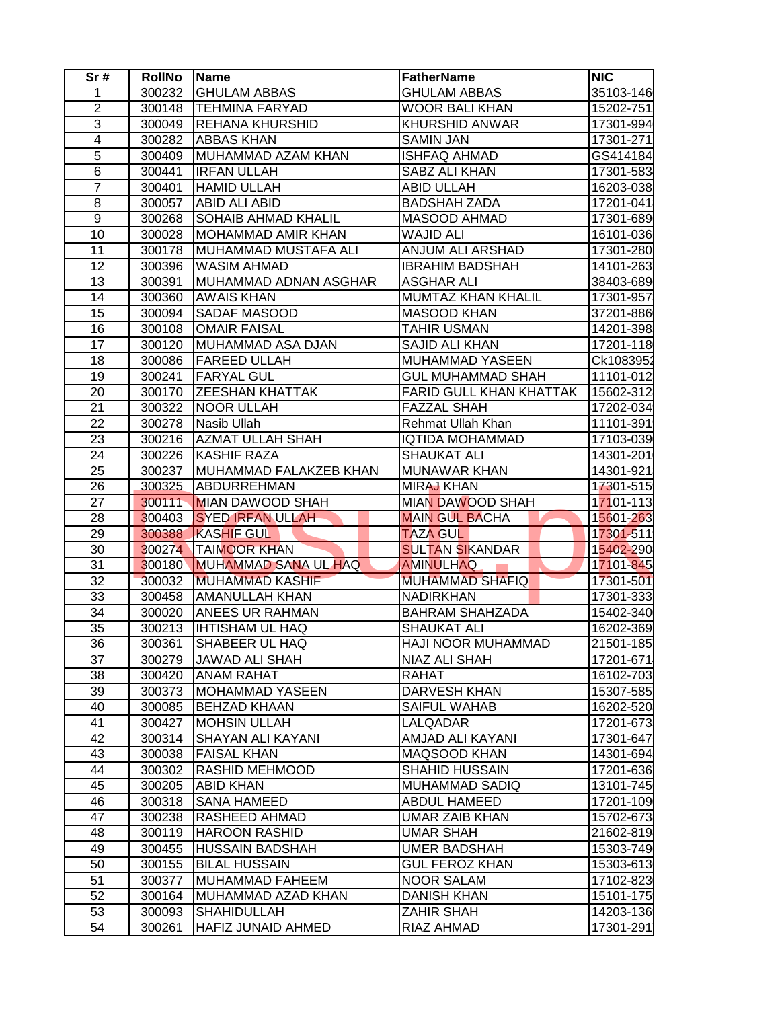| Sr#             | <b>RollNo</b> | <b>Name</b>                 | <b>FatherName</b>              | <b>NIC</b> |
|-----------------|---------------|-----------------------------|--------------------------------|------------|
| $\mathbf{1}$    | 300232        | <b>GHULAM ABBAS</b>         | <b>GHULAM ABBAS</b>            | 35103-146  |
| $\overline{2}$  | 300148        | <b>TEHMINA FARYAD</b>       | <b>WOOR BALI KHAN</b>          | 15202-751  |
| $\overline{3}$  | 300049        | REHANA KHURSHID             | KHURSHID ANWAR                 | 17301-994  |
| $\overline{4}$  | 300282        | <b>ABBAS KHAN</b>           | <b>SAMIN JAN</b>               | 17301-271  |
| $\overline{5}$  | 300409        | MUHAMMAD AZAM KHAN          | <b>ISHFAQ AHMAD</b>            | GS414184   |
| $\overline{6}$  | 300441        | IRFAN ULLAH                 | SABZ ALI KHAN                  | 17301-583  |
| $\overline{7}$  | 300401        | <b>HAMID ULLAH</b>          | <b>ABID ULLAH</b>              | 16203-038  |
| 8               | 300057        | ABID ALI ABID               | <b>BADSHAH ZADA</b>            | 17201-041  |
| $\overline{9}$  | 300268        | SOHAIB AHMAD KHALIL         | MASOOD AHMAD                   | 17301-689  |
| 10              | 300028        | <b>MOHAMMAD AMIR KHAN</b>   | <b>WAJID ALI</b>               | 16101-036  |
| 11              | 300178        | MUHAMMAD MUSTAFA ALI        | ANJUM ALI ARSHAD               | 17301-280  |
| 12              | 300396        | <b>WASIM AHMAD</b>          | <b>IBRAHIM BADSHAH</b>         | 14101-263  |
| 13              | 300391        | MUHAMMAD ADNAN ASGHAR       | <b>ASGHAR ALI</b>              | 38403-689  |
| 14              | 300360        | <b>AWAIS KHAN</b>           | MUMTAZ KHAN KHALIL             | 17301-957  |
| 15              | 300094        | SADAF MASOOD                | <b>MASOOD KHAN</b>             | 37201-886  |
| 16              | 300108        | <b>OMAIR FAISAL</b>         | <b>TAHIR USMAN</b>             | 14201-398  |
| 17              | 300120        | MUHAMMAD ASA DJAN           | SAJID ALI KHAN                 | 17201-118  |
| 18              | 300086        | <b>FAREED ULLAH</b>         | MUHAMMAD YASEEN                | Ck1083952  |
| 19              | 300241        | <b>FARYAL GUL</b>           | <b>GUL MUHAMMAD SHAH</b>       | 11101-012  |
| 20              | 300170        | <b>ZEESHAN KHATTAK</b>      | <b>FARID GULL KHAN KHATTAK</b> | 15602-312  |
| 21              | 300322        | <b>NOOR ULLAH</b>           | <b>FAZZAL SHAH</b>             | 17202-034  |
| 22              | 300278        | Nasib Ullah                 | Rehmat Ullah Khan              | 11101-391  |
| 23              | 300216        | <b>AZMAT ULLAH SHAH</b>     | <b>IQTIDA MOHAMMAD</b>         | 17103-039  |
| 24              | 300226        | <b>KASHIF RAZA</b>          | <b>SHAUKAT ALI</b>             | 14301-201  |
| 25              | 300237        | MUHAMMAD FALAKZEB KHAN      | <b>MUNAWAR KHAN</b>            | 14301-921  |
| 26              | 300325        | <b>ABDURREHMAN</b>          | <b>MIRAJ KHAN</b>              | 17301-515  |
| 27              | 300111        | <b>MIAN DAWOOD SHAH</b>     | <b>MIAN DAWOOD SHAH</b>        | 17101-113  |
| 28              | 300403        | <b>SYED IRFAN ULLAH</b>     | <b>MAIN GUL BACHA</b>          | 15601-263  |
| 29              | 300388        | <b>KASHIF GUL</b>           | <b>TAZA GUL</b>                | 17301-511  |
| 30              | 300274        | <b>TAIMOOR KHAN</b>         | <b>SULTAN SIKANDAR</b>         | 15402-290  |
| 31              | 300180        | <b>MUHAMMAD SANA UL HAQ</b> | <b>AMINULHAQ</b>               | 17101-845  |
| $\overline{32}$ | 300032        | <b>MUHAMMAD KASHIF</b>      | <b>MUHAMMAD SHAFIQ</b>         | 17301-501  |
| 33              | 300458        | <b>AMANULLAH KHAN</b>       | <b>NADIRKHAN</b>               | 17301-333  |
| $\overline{34}$ | 300020        | ANEES UR RAHMAN             | <b>BAHRAM SHAHZADA</b>         | 15402-340  |
| $\overline{35}$ | 300213        | <b>IHTISHAM UL HAQ</b>      | <b>SHAUKAT ALI</b>             | 16202-369  |
| 36              | 300361        | SHABEER UL HAQ              | HAJI NOOR MUHAMMAD             | 21501-185  |
| 37              | 300279        | JAWAD ALI SHAH              | NIAZ ALI SHAH                  | 17201-671  |
| 38              | 300420        | <b>ANAM RAHAT</b>           | <b>RAHAT</b>                   | 16102-703  |
| 39              | 300373        | <b>MOHAMMAD YASEEN</b>      | <b>DARVESH KHAN</b>            | 15307-585  |
| 40              | 300085        | <b>BEHZAD KHAAN</b>         | <b>SAIFUL WAHAB</b>            | 16202-520  |
| 41              | 300427        | <b>MOHSIN ULLAH</b>         | LALQADAR                       | 17201-673  |
| 42              | 300314        | SHAYAN ALI KAYANI           | AMJAD ALI KAYANI               | 17301-647  |
| 43              | 300038        | <b>FAISAL KHAN</b>          | MAQSOOD KHAN                   | 14301-694  |
| 44              | 300302        | RASHID MEHMOOD              | <b>SHAHID HUSSAIN</b>          | 17201-636  |
| 45              | 300205        | <b>ABID KHAN</b>            | <b>MUHAMMAD SADIQ</b>          | 13101-745  |
| 46              | 300318        | <b>SANA HAMEED</b>          | <b>ABDUL HAMEED</b>            | 17201-109  |
| 47              | 300238        | RASHEED AHMAD               | <b>UMAR ZAIB KHAN</b>          | 15702-673  |
| 48              | 300119        | <b>HAROON RASHID</b>        | <b>UMAR SHAH</b>               | 21602-819  |
| 49              | 300455        | <b>HUSSAIN BADSHAH</b>      | <b>UMER BADSHAH</b>            | 15303-749  |
| 50              | 300155        | <b>BILAL HUSSAIN</b>        | <b>GUL FEROZ KHAN</b>          | 15303-613  |
| 51              | 300377        | MUHAMMAD FAHEEM             | <b>NOOR SALAM</b>              | 17102-823  |
| 52              | 300164        | MUHAMMAD AZAD KHAN          | DANISH KHAN                    | 15101-175  |
| 53              | 300093        | <b>SHAHIDULLAH</b>          | <b>ZAHIR SHAH</b>              | 14203-136  |
| 54              | 300261        | HAFIZ JUNAID AHMED          |                                | 17301-291  |
|                 |               |                             | RIAZ AHMAD                     |            |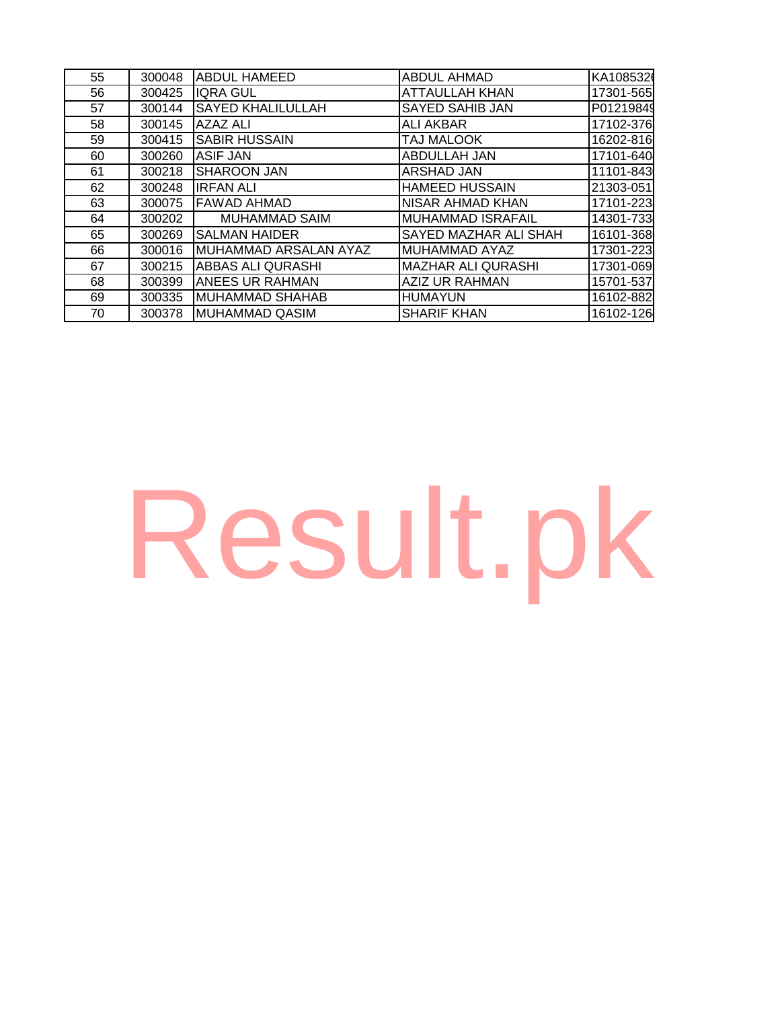| 55 | 300048 | <b>ABDUL HAMEED</b>      | <b>ABDUL AHMAD</b>        | KA108532  |
|----|--------|--------------------------|---------------------------|-----------|
| 56 | 300425 | <b>IQRA GUL</b>          | <b>ATTAULLAH KHAN</b>     | 17301-565 |
| 57 | 300144 | <b>SAYED KHALILULLAH</b> | <b>SAYED SAHIB JAN</b>    | P01219849 |
| 58 | 300145 | <b>AZAZ ALI</b>          | <b>ALI AKBAR</b>          | 17102-376 |
| 59 | 300415 | <b>SABIR HUSSAIN</b>     | TAJ MALOOK                | 16202-816 |
| 60 | 300260 | ASIF JAN                 | ABDULLAH JAN              | 17101-640 |
| 61 | 300218 | <b>SHAROON JAN</b>       | ARSHAD JAN                | 11101-843 |
| 62 | 300248 | <b>IRFAN ALI</b>         | <b>HAMEED HUSSAIN</b>     | 21303-051 |
| 63 | 300075 | <b>FAWAD AHMAD</b>       | <b>NISAR AHMAD KHAN</b>   | 17101-223 |
| 64 | 300202 | <b>MUHAMMAD SAIM</b>     | MUHAMMAD ISRAFAIL         | 14301-733 |
| 65 | 300269 | SALMAN HAIDER            | SAYED MAZHAR ALI SHAH     | 16101-368 |
| 66 | 300016 | MUHAMMAD ARSALAN AYAZ    | MUHAMMAD AYAZ             | 17301-223 |
| 67 | 300215 | ABBAS ALI QURASHI        | <b>MAZHAR ALI QURASHI</b> | 17301-069 |
| 68 | 300399 | <b>ANEES UR RAHMAN</b>   | AZIZ UR RAHMAN            | 15701-537 |
| 69 | 300335 | <b>MUHAMMAD SHAHAB</b>   | <b>HUMAYUN</b>            | 16102-882 |
| 70 | 300378 | <b>MUHAMMAD QASIM</b>    | <b>SHARIF KHAN</b>        | 16102-126 |

## [Result.pk](http://www.result.pk/)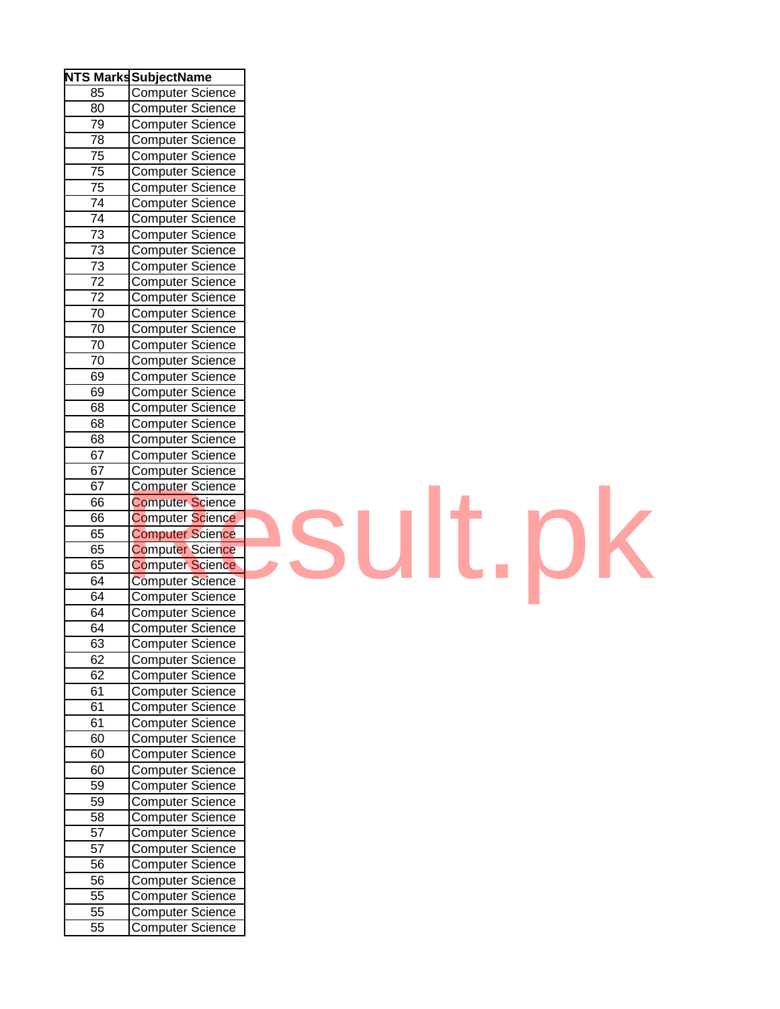|                 | <b>NTS Marks SubjectName</b>         |
|-----------------|--------------------------------------|
| 85              | <b>Computer Science</b>              |
| 80              | <b>Computer Science</b>              |
| 79              |                                      |
| 78              | Computer Science<br>Computer Science |
| $\overline{75}$ | Computer Science                     |
| $\overline{75}$ | Computer Science                     |
| $\overline{75}$ | <b>Computer Science</b>              |
| $\overline{74}$ | Computer Science                     |
| 74              | <b>Computer Science</b>              |
| 73              | Computer Science                     |
| 73              | Computer Science                     |
| 73              | <b>Computer Science</b>              |
| 72              | Computer Science                     |
| 72              | <b>Computer Science</b>              |
| 70              | <b>Computer Science</b>              |
| 70              | <b>Computer Science</b>              |
| 70              | Computer Science                     |
| 70              | Computer Science                     |
| 69              | Computer Science                     |
| 69              | Computer Science                     |
| 68              | Computer Science                     |
| 68              | <b>Computer Science</b>              |
| 68              | <b>Computer Science</b>              |
| 67              | <b>Computer Science</b>              |
| 67              | <b>Computer Science</b>              |
| 67              | <b>Computer Science</b>              |
| 66              | <b>Computer Science</b>              |
| 66              | <b>Computer Science</b>              |
| 65              | <b>Computer Science</b>              |
| 65              | <b>Computer Science</b>              |
| 65              | <b>Computer Science</b>              |
| 64              | <b>Computer Science</b>              |
| 64              | Computer Science                     |
| 64              | <b>Computer Science</b>              |
| 64              | <b>Computer Science</b>              |
| 63              | Computer Science                     |
| 62              | Computer Science                     |
| 62              | <b>Computer Science</b>              |
| 61              | <b>Computer Science</b>              |
| 61              | <b>Computer Science</b>              |
| 61              | <b>Computer Science</b>              |
| $\overline{6}0$ | <b>Computer Science</b>              |
| 60              | <b>Computer Science</b>              |
| 60              | <b>Computer Science</b>              |
| 59              | <b>Computer Science</b>              |
| 59              | Computer Science                     |
| 58              | Computer Science                     |
| 57              | <b>Computer Science</b>              |
| 57              | Computer Science                     |
| 56              | Computer Science                     |
| 56              | <b>Computer Science</b>              |
| 55              |                                      |
| $5\overline{5}$ | Computer Science<br>Computer Science |
| 55              | Computer Science                     |

## [Result.pk](http://www.result.pk/)